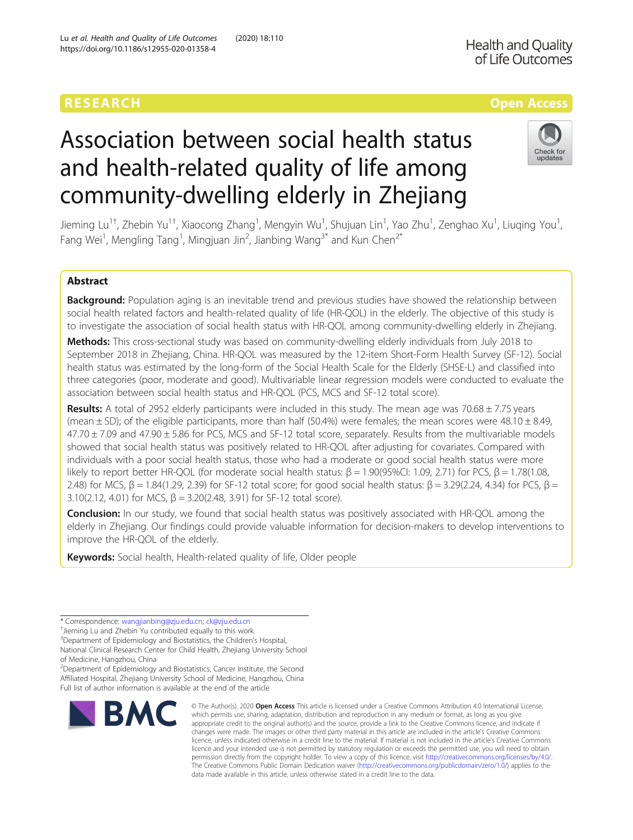## RESEARCH **RESEARCH CONSUMING THE CONSUMING THE CONSUMING TENS**

# Association between social health status and health-related quality of life among community-dwelling elderly in Zhejiang



Jieming Lu<sup>1†</sup>, Zhebin Yu<sup>1†</sup>, Xiaocong Zhang<sup>1</sup>, Mengyin Wu<sup>1</sup>, Shujuan Lin<sup>1</sup>, Yao Zhu<sup>1</sup>, Zenghao Xu<sup>1</sup>, Liuqing You<sup>1</sup> , Fang Wei<sup>1</sup>, Mengling Tang<sup>1</sup>, Mingjuan Jin<sup>2</sup>, Jianbing Wang<sup>3\*</sup> and Kun Chen<sup>2\*</sup>

### Abstract

Background: Population aging is an inevitable trend and previous studies have showed the relationship between social health related factors and health-related quality of life (HR-QOL) in the elderly. The objective of this study is to investigate the association of social health status with HR-QOL among community-dwelling elderly in Zhejiang.

Methods: This cross-sectional study was based on community-dwelling elderly individuals from July 2018 to September 2018 in Zhejiang, China. HR-QOL was measured by the 12-item Short-Form Health Survey (SF-12). Social health status was estimated by the long-form of the Social Health Scale for the Elderly (SHSE-L) and classified into three categories (poor, moderate and good). Multivariable linear regression models were conducted to evaluate the association between social health status and HR-QOL (PCS, MCS and SF-12 total score).

**Results:** A total of 2952 elderly participants were included in this study. The mean age was  $70.68 \pm 7.75$  years (mean  $\pm$  SD); of the eligible participants, more than half (50.4%) were females; the mean scores were 48.10  $\pm$  8.49,  $47.70 \pm 7.09$  and  $47.90 \pm 5.86$  for PCS, MCS and SF-12 total score, separately. Results from the multivariable models showed that social health status was positively related to HR-QOL after adjusting for covariates. Compared with individuals with a poor social health status, those who had a moderate or good social health status were more likely to report better HR-QOL (for moderate social health status:  $β = 1.90(95%CI: 1.09, 2.71)$  for PCS,  $β = 1.78(1.08,$ 2.48) for MCS,  $β = 1.84(1.29, 2.39)$  for SF-12 total score; for good social health status:  $β = 3.29(2.24, 4.34)$  for PCS,  $β =$ 3.10(2.12, 4.01) for MCS,  $β = 3.20(2.48, 3.91)$  for SF-12 total score).

**Conclusion:** In our study, we found that social health status was positively associated with HR-QOL among the elderly in Zhejiang. Our findings could provide valuable information for decision-makers to develop interventions to improve the HR-QOL of the elderly.

Keywords: Social health, Health-related quality of life, Older people

<sup>&</sup>lt;sup>2</sup>Department of Epidemiology and Biostatistics, Cancer Institute, the Second Affiliated Hospital, Zhejiang University School of Medicine, Hangzhou, China Full list of author information is available at the end of the article



<sup>©</sup> The Author(s), 2020 **Open Access** This article is licensed under a Creative Commons Attribution 4.0 International License, which permits use, sharing, adaptation, distribution and reproduction in any medium or format, as long as you give appropriate credit to the original author(s) and the source, provide a link to the Creative Commons licence, and indicate if changes were made. The images or other third party material in this article are included in the article's Creative Commons licence, unless indicated otherwise in a credit line to the material. If material is not included in the article's Creative Commons licence and your intended use is not permitted by statutory regulation or exceeds the permitted use, you will need to obtain permission directly from the copyright holder. To view a copy of this licence, visit [http://creativecommons.org/licenses/by/4.0/.](http://creativecommons.org/licenses/by/4.0/) The Creative Commons Public Domain Dedication waiver [\(http://creativecommons.org/publicdomain/zero/1.0/](http://creativecommons.org/publicdomain/zero/1.0/)) applies to the data made available in this article, unless otherwise stated in a credit line to the data.

<sup>\*</sup> Correspondence: [wangjianbing@zju.edu.cn;](mailto:wangjianbing@zju.edu.cn) [ck@zju.edu.cn](mailto:ck@zju.edu.cn) †

<sup>&</sup>lt;sup>+</sup>Jieming Lu and Zhebin Yu contributed equally to this work.

<sup>&</sup>lt;sup>3</sup>Department of Epidemiology and Biostatistics, the Children's Hospital, National Clinical Research Center for Child Health, Zhejiang University School

of Medicine, Hangzhou, China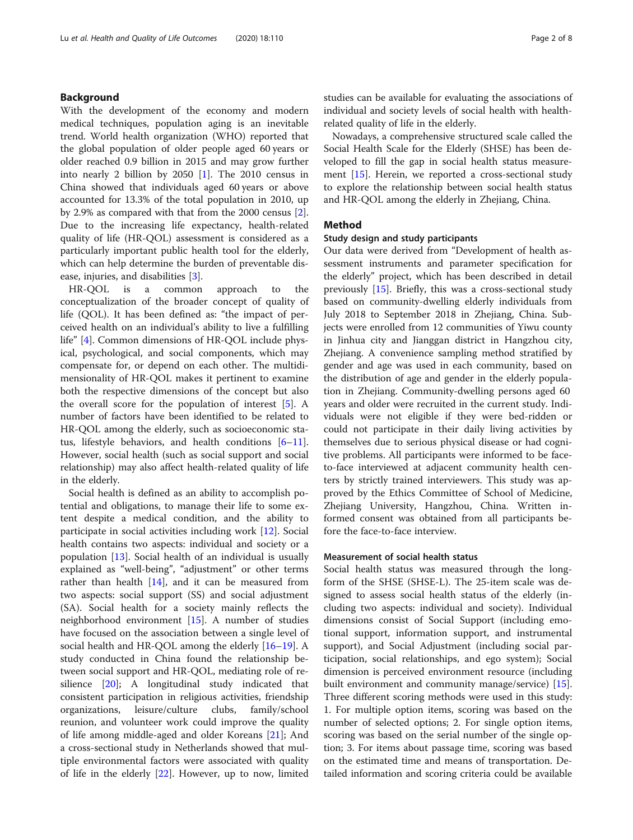#### Background

With the development of the economy and modern medical techniques, population aging is an inevitable trend. World health organization (WHO) reported that the global population of older people aged 60 years or older reached 0.9 billion in 2015 and may grow further into nearly 2 billion by 2050 [[1\]](#page-6-0). The 2010 census in China showed that individuals aged 60 years or above accounted for 13.3% of the total population in 2010, up by 2.9% as compared with that from the 2000 census [\[2](#page-6-0)]. Due to the increasing life expectancy, health-related quality of life (HR-QOL) assessment is considered as a particularly important public health tool for the elderly, which can help determine the burden of preventable disease, injuries, and disabilities [[3\]](#page-6-0).

HR-QOL is a common approach to the conceptualization of the broader concept of quality of life (QOL). It has been defined as: "the impact of perceived health on an individual's ability to live a fulfilling life" [[4\]](#page-6-0). Common dimensions of HR-QOL include physical, psychological, and social components, which may compensate for, or depend on each other. The multidimensionality of HR-QOL makes it pertinent to examine both the respective dimensions of the concept but also the overall score for the population of interest [\[5](#page-6-0)]. A number of factors have been identified to be related to HR-QOL among the elderly, such as socioeconomic status, lifestyle behaviors, and health conditions [[6](#page-6-0)–[11](#page-6-0)]. However, social health (such as social support and social relationship) may also affect health-related quality of life in the elderly.

Social health is defined as an ability to accomplish potential and obligations, to manage their life to some extent despite a medical condition, and the ability to participate in social activities including work [\[12\]](#page-6-0). Social health contains two aspects: individual and society or a population [[13](#page-6-0)]. Social health of an individual is usually explained as "well-being", "adjustment" or other terms rather than health  $[14]$  $[14]$  $[14]$ , and it can be measured from two aspects: social support (SS) and social adjustment (SA). Social health for a society mainly reflects the neighborhood environment [\[15](#page-6-0)]. A number of studies have focused on the association between a single level of social health and HR-QOL among the elderly  $[16–19]$  $[16–19]$  $[16–19]$  $[16–19]$  $[16–19]$ . A study conducted in China found the relationship between social support and HR-QOL, mediating role of resilience [[20\]](#page-6-0); A longitudinal study indicated that consistent participation in religious activities, friendship organizations, leisure/culture clubs, family/school reunion, and volunteer work could improve the quality of life among middle-aged and older Koreans [\[21\]](#page-6-0); And a cross-sectional study in Netherlands showed that multiple environmental factors were associated with quality of life in the elderly [\[22\]](#page-6-0). However, up to now, limited

studies can be available for evaluating the associations of individual and society levels of social health with healthrelated quality of life in the elderly.

Nowadays, a comprehensive structured scale called the Social Health Scale for the Elderly (SHSE) has been developed to fill the gap in social health status measurement [[15](#page-6-0)]. Herein, we reported a cross-sectional study to explore the relationship between social health status and HR-QOL among the elderly in Zhejiang, China.

#### Method

#### Study design and study participants

Our data were derived from "Development of health assessment instruments and parameter specification for the elderly" project, which has been described in detail previously [[15](#page-6-0)]. Briefly, this was a cross-sectional study based on community-dwelling elderly individuals from July 2018 to September 2018 in Zhejiang, China. Subjects were enrolled from 12 communities of Yiwu county in Jinhua city and Jianggan district in Hangzhou city, Zhejiang. A convenience sampling method stratified by gender and age was used in each community, based on the distribution of age and gender in the elderly population in Zhejiang. Community-dwelling persons aged 60 years and older were recruited in the current study. Individuals were not eligible if they were bed-ridden or could not participate in their daily living activities by themselves due to serious physical disease or had cognitive problems. All participants were informed to be faceto-face interviewed at adjacent community health centers by strictly trained interviewers. This study was approved by the Ethics Committee of School of Medicine, Zhejiang University, Hangzhou, China. Written informed consent was obtained from all participants before the face-to-face interview.

#### Measurement of social health status

Social health status was measured through the longform of the SHSE (SHSE-L). The 25-item scale was designed to assess social health status of the elderly (including two aspects: individual and society). Individual dimensions consist of Social Support (including emotional support, information support, and instrumental support), and Social Adjustment (including social participation, social relationships, and ego system); Social dimension is perceived environment resource (including built environment and community manage/service) [\[15](#page-6-0)]. Three different scoring methods were used in this study: 1. For multiple option items, scoring was based on the number of selected options; 2. For single option items, scoring was based on the serial number of the single option; 3. For items about passage time, scoring was based on the estimated time and means of transportation. Detailed information and scoring criteria could be available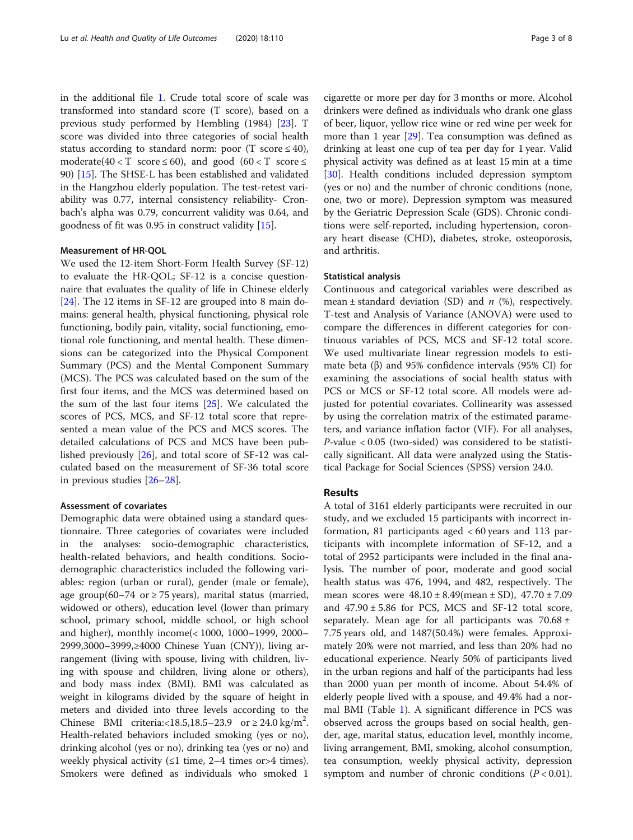in the additional file [1.](#page-5-0) Crude total score of scale was transformed into standard score (T score), based on a previous study performed by Hembling (1984) [\[23\]](#page-6-0). T score was divided into three categories of social health status according to standard norm: poor (T score  $\leq 40$ ), moderate( $40 < T$  score  $\leq 60$ ), and good ( $60 < T$  score  $\leq$ 90) [\[15\]](#page-6-0). The SHSE-L has been established and validated in the Hangzhou elderly population. The test-retest variability was 0.77, internal consistency reliability- Cronbach's alpha was 0.79, concurrent validity was 0.64, and goodness of fit was 0.95 in construct validity [\[15\]](#page-6-0).

#### Measurement of HR-QOL

We used the 12-item Short-Form Health Survey (SF-12) to evaluate the HR-QOL; SF-12 is a concise questionnaire that evaluates the quality of life in Chinese elderly [[24\]](#page-6-0). The 12 items in SF-12 are grouped into 8 main domains: general health, physical functioning, physical role functioning, bodily pain, vitality, social functioning, emotional role functioning, and mental health. These dimensions can be categorized into the Physical Component Summary (PCS) and the Mental Component Summary (MCS). The PCS was calculated based on the sum of the first four items, and the MCS was determined based on the sum of the last four items [\[25](#page-6-0)]. We calculated the scores of PCS, MCS, and SF-12 total score that represented a mean value of the PCS and MCS scores. The detailed calculations of PCS and MCS have been published previously [[26\]](#page-6-0), and total score of SF-12 was calculated based on the measurement of SF-36 total score in previous studies [\[26](#page-6-0)–[28](#page-6-0)].

#### Assessment of covariates

Demographic data were obtained using a standard questionnaire. Three categories of covariates were included in the analyses: socio-demographic characteristics, health-related behaviors, and health conditions. Sociodemographic characteristics included the following variables: region (urban or rural), gender (male or female), age group(60–74 or  $\geq$  75 years), marital status (married, widowed or others), education level (lower than primary school, primary school, middle school, or high school and higher), monthly income(< 1000, 1000–1999, 2000– 2999,3000–3999,≥4000 Chinese Yuan (CNY)), living arrangement (living with spouse, living with children, living with spouse and children, living alone or others), and body mass index (BMI). BMI was calculated as weight in kilograms divided by the square of height in meters and divided into three levels according to the Chinese BMI criteria:<18.5,18.5–23.9 or  $\geq 24.0 \text{ kg/m}^2$ . Health-related behaviors included smoking (yes or no), drinking alcohol (yes or no), drinking tea (yes or no) and weekly physical activity  $(≤1$  time, 2–4 times or>4 times). Smokers were defined as individuals who smoked 1

cigarette or more per day for 3 months or more. Alcohol drinkers were defined as individuals who drank one glass of beer, liquor, yellow rice wine or red wine per week for more than 1 year [\[29](#page-6-0)]. Tea consumption was defined as drinking at least one cup of tea per day for 1 year. Valid physical activity was defined as at least 15 min at a time [[30\]](#page-6-0). Health conditions included depression symptom (yes or no) and the number of chronic conditions (none, one, two or more). Depression symptom was measured by the Geriatric Depression Scale (GDS). Chronic conditions were self-reported, including hypertension, coronary heart disease (CHD), diabetes, stroke, osteoporosis, and arthritis.

#### Statistical analysis

Continuous and categorical variables were described as mean  $\pm$  standard deviation (SD) and *n* (%), respectively. T-test and Analysis of Variance (ANOVA) were used to compare the differences in different categories for continuous variables of PCS, MCS and SF-12 total score. We used multivariate linear regression models to estimate beta (β) and 95% confidence intervals (95% CI) for examining the associations of social health status with PCS or MCS or SF-12 total score. All models were adjusted for potential covariates. Collinearity was assessed by using the correlation matrix of the estimated parameters, and variance inflation factor (VIF). For all analyses,  $P$ -value < 0.05 (two-sided) was considered to be statistically significant. All data were analyzed using the Statistical Package for Social Sciences (SPSS) version 24.0.

#### Results

A total of 3161 elderly participants were recruited in our study, and we excluded 15 participants with incorrect information, 81 participants aged < 60 years and 113 participants with incomplete information of SF-12, and a total of 2952 participants were included in the final analysis. The number of poor, moderate and good social health status was 476, 1994, and 482, respectively. The mean scores were  $48.10 \pm 8.49$  (mean  $\pm$  SD),  $47.70 \pm 7.09$ and 47.90 ± 5.86 for PCS, MCS and SF-12 total score, separately. Mean age for all participants was  $70.68 \pm$ 7.75 years old, and 1487(50.4%) were females. Approximately 20% were not married, and less than 20% had no educational experience. Nearly 50% of participants lived in the urban regions and half of the participants had less than 2000 yuan per month of income. About 54.4% of elderly people lived with a spouse, and 49.4% had a normal BMI (Table [1\)](#page-3-0). A significant difference in PCS was observed across the groups based on social health, gender, age, marital status, education level, monthly income, living arrangement, BMI, smoking, alcohol consumption, tea consumption, weekly physical activity, depression symptom and number of chronic conditions  $(P < 0.01)$ .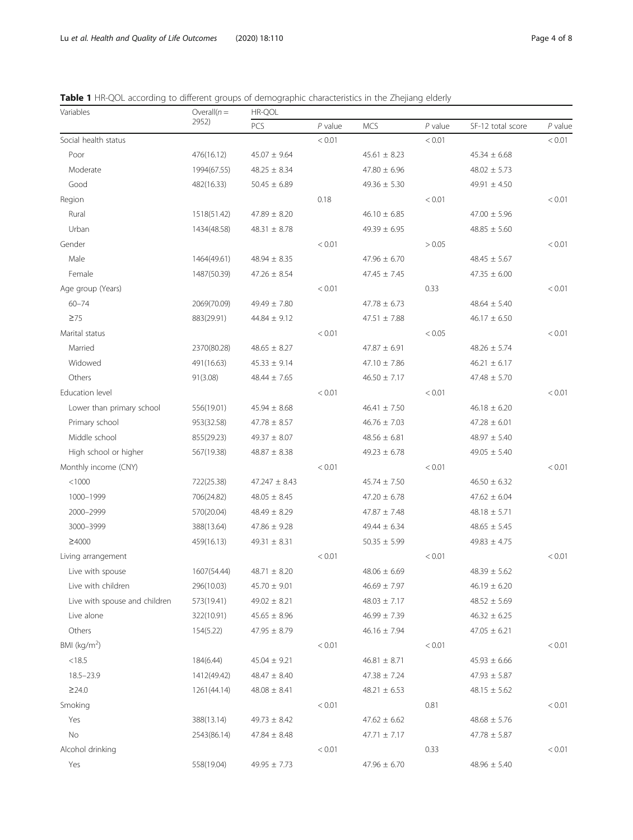<span id="page-3-0"></span>

|  |  |  | <b>Table 1</b> HR-QOL according to different groups of demographic characteristics in the Zhejiang elderly |  |  |
|--|--|--|------------------------------------------------------------------------------------------------------------|--|--|
|  |  |  |                                                                                                            |  |  |

| Variables                     | Overall $(n =$ | HR-QOL            |           |                  |           |                    |           |
|-------------------------------|----------------|-------------------|-----------|------------------|-----------|--------------------|-----------|
|                               | 2952)          | PCS               | $P$ value | <b>MCS</b>       | $P$ value | SF-12 total score  | $P$ value |
| Social health status          |                | < 0.01            |           | < 0.01           |           | < 0.01             |           |
| Poor<br>476(16.12)            |                | $45.07 \pm 9.64$  |           | $45.61 \pm 8.23$ |           | $45.34 \pm 6.68$   |           |
| Moderate                      | 1994(67.55)    | $48.25 \pm 8.34$  |           | $47.80 \pm 6.96$ |           | $48.02 \pm 5.73$   |           |
| Good                          | 482(16.33)     | $50.45 \pm 6.89$  |           | $49.36 \pm 5.30$ |           | 49.91 $\pm$ 4.50   |           |
| Region                        |                |                   | 0.18      |                  | < 0.01    |                    | < 0.01    |
| Rural                         | 1518(51.42)    | $47.89 \pm 8.20$  |           | $46.10 \pm 6.85$ |           | $47.00 \pm 5.96$   |           |
| Urban                         | 1434(48.58)    | $48.31 \pm 8.78$  |           | $49.39 \pm 6.95$ |           | $48.85 \pm 5.60$   |           |
| Gender                        |                |                   | < 0.01    |                  | > 0.05    |                    | < 0.01    |
| Male                          | 1464(49.61)    | $48.94 \pm 8.35$  |           | $47.96 \pm 6.70$ |           | $48.45 \pm 5.67$   |           |
| Female                        | 1487(50.39)    | $47.26 \pm 8.54$  |           | $47.45 \pm 7.45$ |           | $47.35 \pm 6.00$   |           |
| Age group (Years)             |                |                   | < 0.01    |                  | 0.33      |                    | < 0.01    |
| $60 - 74$                     | 2069(70.09)    | $49.49 \pm 7.80$  |           | $47.78 \pm 6.73$ |           | $48.64 \pm 5.40$   |           |
| $\geq 75$                     | 883(29.91)     | $44.84 \pm 9.12$  |           | $47.51 \pm 7.88$ |           | $46.17 \pm 6.50$   |           |
| Marital status                |                |                   | < 0.01    |                  | < 0.05    |                    | < 0.01    |
| Married                       | 2370(80.28)    | $48.65 \pm 8.27$  |           | $47.87 \pm 6.91$ |           | $48.26 \pm 5.74$   |           |
| Widowed                       | 491(16.63)     | $45.33 \pm 9.14$  |           | $47.10 \pm 7.86$ |           | $46.21 \pm 6.17$   |           |
| Others                        | 91(3.08)       | $48.44 \pm 7.65$  |           | $46.50 \pm 7.17$ |           | $47.48 \pm 5.70$   |           |
| Education level               |                |                   | < 0.01    |                  | < 0.01    |                    | < 0.01    |
| Lower than primary school     | 556(19.01)     | $45.94 \pm 8.68$  |           | $46.41 \pm 7.50$ |           | $46.18 \pm 6.20$   |           |
| Primary school                | 953(32.58)     | $47.78 \pm 8.57$  |           | $46.76 \pm 7.03$ |           | $47.28 \pm 6.01$   |           |
| Middle school                 | 855(29.23)     | $49.37 \pm 8.07$  |           | $48.56 \pm 6.81$ |           | $48.97 \pm 5.40$   |           |
| High school or higher         | 567(19.38)     | $48.87 \pm 8.38$  |           | $49.23 \pm 6.78$ |           | $49.05 \pm 5.40$   |           |
| Monthly income (CNY)          |                |                   | < 0.01    |                  | < 0.01    |                    | < 0.01    |
| < 1000                        | 722(25.38)     | $47.247 \pm 8.43$ |           | $45.74 \pm 7.50$ |           | $46.50 \pm 6.32$   |           |
| 1000-1999                     | 706(24.82)     | $48.05 \pm 8.45$  |           | $47.20 \pm 6.78$ |           | $47.62 \pm 6.04$   |           |
| 2000-2999                     | 570(20.04)     | $48.49 \pm 8.29$  |           | $47.87 \pm 7.48$ |           | $48.18 \pm 5.71$   |           |
| 3000-3999                     | 388(13.64)     | $47.86 \pm 9.28$  |           | $49.44 \pm 6.34$ |           | $48.65 \pm 5.45$   |           |
| ≥4000                         | 459(16.13)     | $49.31 \pm 8.31$  |           | $50.35 \pm 5.99$ |           | $49.83 \pm 4.75$   |           |
| Living arrangement            |                |                   | < 0.01    |                  | < 0.01    |                    | < 0.01    |
| Live with spouse              | 1607(54.44)    | $48.71 \pm 8.20$  |           | $48.06 \pm 6.69$ |           | $48.39 \pm 5.62$   |           |
| Live with children            | 296(10.03)     | $45.70 \pm 9.01$  |           | $46.69 \pm 7.97$ |           | $46.19 \pm 6.20$   |           |
| Live with spouse and children | 573(19.41)     | $49.02 \pm 8.21$  |           | $48.03 \pm 7.17$ |           | $48.52 \pm 5.69$   |           |
| Live alone                    | 322(10.91)     | $45.65 \pm 8.96$  |           | $46.99 \pm 7.39$ |           | $46.32 \pm 6.25$   |           |
| Others                        | 154(5.22)      | $47.95 \pm 8.79$  |           | $46.16 \pm 7.94$ |           | $47.05 \pm 6.21$   |           |
| BMI ( $kg/m2$ )               |                |                   | < 0.01    |                  | < 0.01    |                    | < 0.01    |
| < 18.5                        | 184(6.44)      | $45.04 \pm 9.21$  |           | $46.81 \pm 8.71$ |           | $45.93 \pm 6.66$   |           |
| $18.5 - 23.9$                 | 1412(49.42)    | $48.47 \pm 8.40$  |           | $47.38 \pm 7.24$ |           | $47.93\,\pm\,5.87$ |           |
| ≥24.0                         | 1261(44.14)    | $48.08 \pm 8.41$  |           | $48.21 \pm 6.53$ |           | $48.15 \pm 5.62$   |           |
| Smoking                       |                |                   | < 0.01    |                  | 0.81      |                    | < 0.01    |
| Yes                           | 388(13.14)     | $49.73 \pm 8.42$  |           | $47.62 \pm 6.62$ |           | $48.68 \pm 5.76$   |           |
| No                            | 2543(86.14)    | $47.84 \pm 8.48$  |           | $47.71 \pm 7.17$ |           | $47.78 \pm 5.87$   |           |
| Alcohol drinking              |                |                   | < 0.01    |                  | 0.33      |                    | < 0.01    |
| Yes                           | 558(19.04)     | $49.95 \pm 7.73$  |           | $47.96 \pm 6.70$ |           | $48.96 \pm 5.40$   |           |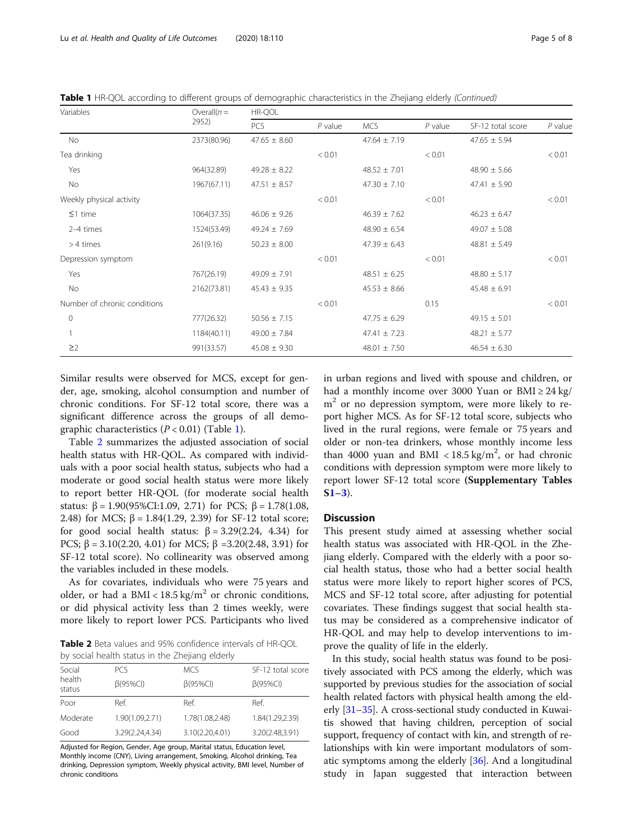Table 1 HR-QOL according to different groups of demographic characteristics in the Zhejiang elderly (Continued)

| Variables                    | Overall $(n=$ | HR-QOL           |           |                  |           |                   |           |  |
|------------------------------|---------------|------------------|-----------|------------------|-----------|-------------------|-----------|--|
|                              | 2952)         | PCS              | $P$ value | <b>MCS</b>       | $P$ value | SF-12 total score | $P$ value |  |
| No                           | 2373(80.96)   | $47.65 \pm 8.60$ |           | $47.64 \pm 7.19$ |           | $47.65 \pm 5.94$  |           |  |
| Tea drinking                 |               |                  | < 0.01    |                  | < 0.01    |                   | < 0.01    |  |
| Yes                          | 964(32.89)    | $49.28 \pm 8.22$ |           | $48.52 \pm 7.01$ |           | $48.90 \pm 5.66$  |           |  |
| No                           | 1967(67.11)   | $47.51 \pm 8.57$ |           | $47.30 \pm 7.10$ |           | $47.41 \pm 5.90$  |           |  |
| Weekly physical activity     |               |                  | < 0.01    |                  | < 0.01    |                   | < 0.01    |  |
| $\leq$ 1 time                | 1064(37.35)   | $46.06 \pm 9.26$ |           | $46.39 \pm 7.62$ |           | $46.23 \pm 6.47$  |           |  |
| 2-4 times                    | 1524(53.49)   | $49.24 \pm 7.69$ |           | $48.90 \pm 6.54$ |           | $49.07 \pm 5.08$  |           |  |
| $>4$ times                   | 261(9.16)     | $50.23 \pm 8.00$ |           | $47.39 \pm 6.43$ |           | $48.81 \pm 5.49$  |           |  |
| Depression symptom           |               |                  | < 0.01    |                  | < 0.01    |                   | < 0.01    |  |
| Yes                          | 767(26.19)    | $49.09 \pm 7.91$ |           | $48.51 \pm 6.25$ |           | $48.80 \pm 5.17$  |           |  |
| No                           | 2162(73.81)   | $45.43 \pm 9.35$ |           | $45.53 \pm 8.66$ |           | $45.48 \pm 6.91$  |           |  |
| Number of chronic conditions |               |                  | < 0.01    |                  | 0.15      |                   | < 0.01    |  |
| $\mathbf{0}$                 | 777(26.32)    | $50.56 \pm 7.15$ |           | $47.75 \pm 6.29$ |           | $49.15 \pm 5.01$  |           |  |
|                              | 1184(40.11)   | $49.00 \pm 7.84$ |           | $47.41 \pm 7.23$ |           | $48.21 \pm 5.77$  |           |  |
| $\geq$ 2                     | 991(33.57)    | $45.08 \pm 9.30$ |           | $48.01 \pm 7.50$ |           | $46.54 \pm 6.30$  |           |  |

Similar results were observed for MCS, except for gender, age, smoking, alcohol consumption and number of chronic conditions. For SF-12 total score, there was a significant difference across the groups of all demographic characteristics  $(P < 0.01)$  $(P < 0.01)$  (Table 1).

Table 2 summarizes the adjusted association of social health status with HR-QOL. As compared with individuals with a poor social health status, subjects who had a moderate or good social health status were more likely to report better HR-QOL (for moderate social health status:  $β = 1.90(95% CI:1.09, 2.71)$  for PCS;  $β = 1.78(1.08,$ 2.48) for MCS;  $β = 1.84(1.29, 2.39)$  for SF-12 total score; for good social health status:  $\beta = 3.29(2.24, 4.34)$  for PCS;  $\beta = 3.10(2.20, 4.01)$  for MCS;  $\beta = 3.20(2.48, 3.91)$  for SF-12 total score). No collinearity was observed among the variables included in these models.

As for covariates, individuals who were 75 years and older, or had a BMI <  $18.5 \text{ kg/m}^2$  or chronic conditions, or did physical activity less than 2 times weekly, were more likely to report lower PCS. Participants who lived

Table 2 Beta values and 95% confidence intervals of HR-QOL by social health status in the Zhejiang elderly

| Social           | <b>PCS</b>      | <b>MCS</b>      | SF-12 total score |  |  |
|------------------|-----------------|-----------------|-------------------|--|--|
| health<br>status | $\beta$ (95%CI) | $\beta$ (95%CI) | $\beta$ (95%CI)   |  |  |
| Poor             | Ref.            | Ref.            | Ref.              |  |  |
| Moderate         | 1.90(1.09,2.71) | 1.78(1.08,2.48) | 1.84(1.29,2.39)   |  |  |
| Good             | 3.29(2.24,4.34) | 3.10(2.20,4.01) | 3.20(2.48,3.91)   |  |  |

Adjusted for Region, Gender, Age group, Marital status, Education level, Monthly income (CNY), Living arrangement, Smoking, Alcohol drinking, Tea drinking, Depression symptom, Weekly physical activity, BMI level, Number of chronic conditions

in urban regions and lived with spouse and children, or had a monthly income over 3000 Yuan or  $BMI \ge 24$  kg/  $m<sup>2</sup>$  or no depression symptom, were more likely to report higher MCS. As for SF-12 total score, subjects who lived in the rural regions, were female or 75 years and older or non-tea drinkers, whose monthly income less than 4000 yuan and BMI <  $18.5 \text{ kg/m}^2$ , or had chronic conditions with depression symptom were more likely to report lower SF-12 total score (Supplementary Tables  $S1-3$  $S1-3$  $S1-3$ ).

#### **Discussion**

This present study aimed at assessing whether social health status was associated with HR-QOL in the Zhejiang elderly. Compared with the elderly with a poor social health status, those who had a better social health status were more likely to report higher scores of PCS, MCS and SF-12 total score, after adjusting for potential covariates. These findings suggest that social health status may be considered as a comprehensive indicator of HR-QOL and may help to develop interventions to improve the quality of life in the elderly.

In this study, social health status was found to be positively associated with PCS among the elderly, which was supported by previous studies for the association of social health related factors with physical health among the elderly [\[31](#page-6-0)–[35](#page-7-0)]. A cross-sectional study conducted in Kuwaitis showed that having children, perception of social support, frequency of contact with kin, and strength of relationships with kin were important modulators of somatic symptoms among the elderly [\[36\]](#page-7-0). And a longitudinal study in Japan suggested that interaction between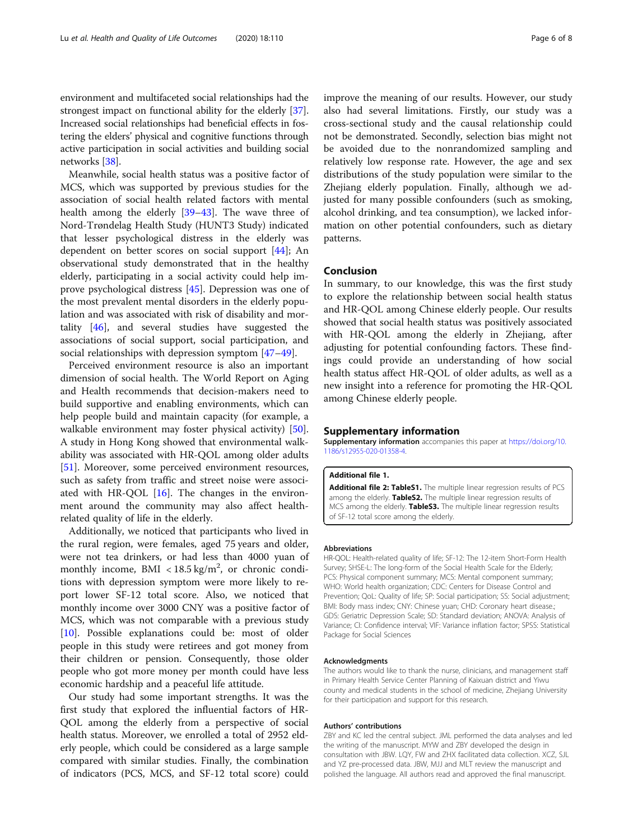<span id="page-5-0"></span>environment and multifaceted social relationships had the strongest impact on functional ability for the elderly [[37](#page-7-0)]. Increased social relationships had beneficial effects in fostering the elders' physical and cognitive functions through active participation in social activities and building social networks [\[38\]](#page-7-0).

Meanwhile, social health status was a positive factor of MCS, which was supported by previous studies for the association of social health related factors with mental health among the elderly [[39](#page-7-0)–[43](#page-7-0)]. The wave three of Nord-Trøndelag Health Study (HUNT3 Study) indicated that lesser psychological distress in the elderly was dependent on better scores on social support [[44](#page-7-0)]; An observational study demonstrated that in the healthy elderly, participating in a social activity could help improve psychological distress [\[45\]](#page-7-0). Depression was one of the most prevalent mental disorders in the elderly population and was associated with risk of disability and mortality [[46\]](#page-7-0), and several studies have suggested the associations of social support, social participation, and social relationships with depression symptom [[47](#page-7-0)–[49](#page-7-0)].

Perceived environment resource is also an important dimension of social health. The World Report on Aging and Health recommends that decision-makers need to build supportive and enabling environments, which can help people build and maintain capacity (for example, a walkable environment may foster physical activity) [\[50](#page-7-0)]. A study in Hong Kong showed that environmental walkability was associated with HR-QOL among older adults [[51\]](#page-7-0). Moreover, some perceived environment resources, such as safety from traffic and street noise were associated with HR-QOL  $[16]$  $[16]$ . The changes in the environment around the community may also affect healthrelated quality of life in the elderly.

Additionally, we noticed that participants who lived in the rural region, were females, aged 75 years and older, were not tea drinkers, or had less than 4000 yuan of monthly income,  $BMI < 18.5$  kg/m<sup>2</sup>, or chronic conditions with depression symptom were more likely to report lower SF-12 total score. Also, we noticed that monthly income over 3000 CNY was a positive factor of MCS, which was not comparable with a previous study [[10\]](#page-6-0). Possible explanations could be: most of older people in this study were retirees and got money from their children or pension. Consequently, those older people who got more money per month could have less economic hardship and a peaceful life attitude.

Our study had some important strengths. It was the first study that explored the influential factors of HR-QOL among the elderly from a perspective of social health status. Moreover, we enrolled a total of 2952 elderly people, which could be considered as a large sample compared with similar studies. Finally, the combination of indicators (PCS, MCS, and SF-12 total score) could

improve the meaning of our results. However, our study also had several limitations. Firstly, our study was a cross-sectional study and the causal relationship could not be demonstrated. Secondly, selection bias might not be avoided due to the nonrandomized sampling and relatively low response rate. However, the age and sex distributions of the study population were similar to the Zhejiang elderly population. Finally, although we adjusted for many possible confounders (such as smoking, alcohol drinking, and tea consumption), we lacked information on other potential confounders, such as dietary patterns.

#### Conclusion

In summary, to our knowledge, this was the first study to explore the relationship between social health status and HR-QOL among Chinese elderly people. Our results showed that social health status was positively associated with HR-QOL among the elderly in Zhejiang, after adjusting for potential confounding factors. These findings could provide an understanding of how social health status affect HR-QOL of older adults, as well as a new insight into a reference for promoting the HR-QOL among Chinese elderly people.

#### Supplementary information

Supplementary information accompanies this paper at [https://doi.org/10.](https://doi.org/10.1186/s12955-020-01358-4) [1186/s12955-020-01358-4](https://doi.org/10.1186/s12955-020-01358-4).

#### Additional file 1.

Additional file 2: TableS1. The multiple linear regression results of PCS among the elderly. TableS2. The multiple linear regression results of MCS among the elderly. TableS3. The multiple linear regression results of SF-12 total score among the elderly.

#### Abbreviations

HR-QOL: Health-related quality of life; SF-12: The 12-item Short-Form Health Survey; SHSE-L: The long-form of the Social Health Scale for the Elderly; PCS: Physical component summary; MCS: Mental component summary; WHO: World health organization; CDC: Centers for Disease Control and Prevention; QoL: Quality of life; SP: Social participation; SS: Social adjustment; BMI: Body mass index; CNY: Chinese yuan; CHD: Coronary heart disease.; GDS: Geriatric Depression Scale; SD: Standard deviation; ANOVA: Analysis of Variance; CI: Confidence interval; VIF: Variance inflation factor; SPSS: Statistical Package for Social Sciences

#### Acknowledgments

The authors would like to thank the nurse, clinicians, and management staff in Primary Health Service Center Planning of Kaixuan district and Yiwu county and medical students in the school of medicine, Zhejiang University for their participation and support for this research.

#### Authors' contributions

ZBY and KC led the central subject. JML performed the data analyses and led the writing of the manuscript. MYW and ZBY developed the design in consultation with JBW. LQY, FW and ZHX facilitated data collection. XCZ, SJL and YZ pre-processed data. JBW, MJJ and MLT review the manuscript and polished the language. All authors read and approved the final manuscript.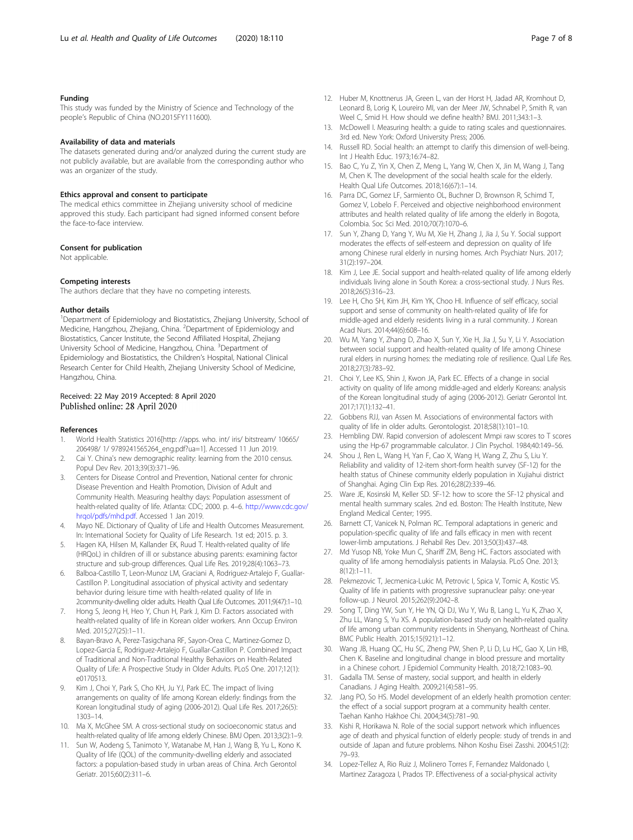#### <span id="page-6-0"></span>Funding

This study was funded by the Ministry of Science and Technology of the people's Republic of China (NO.2015FY111600).

#### Availability of data and materials

The datasets generated during and/or analyzed during the current study are not publicly available, but are available from the corresponding author who was an organizer of the study.

#### Ethics approval and consent to participate

The medical ethics committee in Zhejiang university school of medicine approved this study. Each participant had signed informed consent before the face-to-face interview.

#### Consent for publication

Not applicable.

#### Competing interests

The authors declare that they have no competing interests.

#### Author details

<sup>1</sup>Department of Epidemiology and Biostatistics, Zhejiang University, School of Medicine, Hangzhou, Zhejiang, China. <sup>2</sup>Department of Epidemiology and Biostatistics, Cancer Institute, the Second Affiliated Hospital, Zhejiang University School of Medicine, Hangzhou, China. <sup>3</sup>Department of Epidemiology and Biostatistics, the Children's Hospital, National Clinical Research Center for Child Health, Zhejiang University School of Medicine, Hangzhou, China.

#### Received: 22 May 2019 Accepted: 8 April 2020 Published online: 28 April 2020

#### References

- 1. World Health Statistics 2016[http: //apps. who. int/ iris/ bitstream/ 10665/ 206498/ 1/ 9789241565264\_eng.pdf?ua=1]. Accessed 11 Jun 2019.
- Cai Y. China's new demographic reality: learning from the 2010 census. Popul Dev Rev. 2013;39(3):371–96.
- 3. Centers for Disease Control and Prevention, National center for chronic Disease Prevention and Health Promotion, Division of Adult and Community Health. Measuring healthy days: Population assessment of health-related quality of life. Atlanta: CDC; 2000. p. 4–6. [http://www.cdc.gov/](http://www.cdc.gov/hrqol/pdfs/mhd.pdf) [hrqol/pdfs/mhd.pdf.](http://www.cdc.gov/hrqol/pdfs/mhd.pdf) Accessed 1 Jan 2019.
- 4. Mayo NE. Dictionary of Quality of Life and Health Outcomes Measurement. In: International Society for Quality of Life Research. 1st ed; 2015. p. 3.
- 5. Hagen KA, Hilsen M, Kallander EK, Ruud T. Health-related quality of life (HRQoL) in children of ill or substance abusing parents: examining factor structure and sub-group differences. Qual Life Res. 2019;28(4):1063–73.
- 6. Balboa-Castillo T, Leon-Munoz LM, Graciani A, Rodriguez-Artalejo F, Guallar-Castillon P. Longitudinal association of physical activity and sedentary behavior during leisure time with health-related quality of life in 2community-dwelling older adults. Health Qual Life Outcomes. 2011;9(47):1–10.
- 7. Hong S, Jeong H, Heo Y, Chun H, Park J, Kim D. Factors associated with health-related quality of life in Korean older workers. Ann Occup Environ Med. 2015;27(25):1–11.
- 8. Bayan-Bravo A, Perez-Tasigchana RF, Sayon-Orea C, Martinez-Gomez D, Lopez-Garcia E, Rodriguez-Artalejo F, Guallar-Castillon P. Combined Impact of Traditional and Non-Traditional Healthy Behaviors on Health-Related Quality of Life: A Prospective Study in Older Adults. PLoS One. 2017;12(1): e0170513.
- Kim J, Choi Y, Park S, Cho KH, Ju YJ, Park EC. The impact of living arrangements on quality of life among Korean elderly: findings from the Korean longitudinal study of aging (2006-2012). Qual Life Res. 2017;26(5): 1303–14.
- 10. Ma X, McGhee SM. A cross-sectional study on socioeconomic status and health-related quality of life among elderly Chinese. BMJ Open. 2013;3(2):1–9.
- 11. Sun W, Aodeng S, Tanimoto Y, Watanabe M, Han J, Wang B, Yu L, Kono K. Quality of life (QOL) of the community-dwelling elderly and associated factors: a population-based study in urban areas of China. Arch Gerontol Geriatr. 2015;60(2):311–6.
- 12. Huber M, Knottnerus JA, Green L, van der Horst H, Jadad AR, Kromhout D, Leonard B, Lorig K, Loureiro MI, van der Meer JW, Schnabel P, Smith R, van Weel C, Smid H. How should we define health? BMJ. 2011;343:1–3.
- 13. McDowell I. Measuring health: a guide to rating scales and questionnaires. 3rd ed. New York: Oxford University Press; 2006.
- 14. Russell RD. Social health: an attempt to clarify this dimension of well-being. Int J Health Educ. 1973;16:74–82.
- 15. Bao C, Yu Z, Yin X, Chen Z, Meng L, Yang W, Chen X, Jin M, Wang J, Tang M, Chen K. The development of the social health scale for the elderly. Health Qual Life Outcomes. 2018;16(67):1–14.
- 16. Parra DC, Gomez LF, Sarmiento OL, Buchner D, Brownson R, Schimd T, Gomez V, Lobelo F. Perceived and objective neighborhood environment attributes and health related quality of life among the elderly in Bogota, Colombia. Soc Sci Med. 2010;70(7):1070–6.
- 17. Sun Y, Zhang D, Yang Y, Wu M, Xie H, Zhang J, Jia J, Su Y. Social support moderates the effects of self-esteem and depression on quality of life among Chinese rural elderly in nursing homes. Arch Psychiatr Nurs. 2017; 31(2):197–204.
- 18. Kim J, Lee JE. Social support and health-related quality of life among elderly individuals living alone in South Korea: a cross-sectional study. J Nurs Res. 2018;26(5):316–23.
- 19. Lee H, Cho SH, Kim JH, Kim YK, Choo HI. Influence of self efficacy, social support and sense of community on health-related quality of life for middle-aged and elderly residents living in a rural community. J Korean Acad Nurs. 2014;44(6):608–16.
- 20. Wu M, Yang Y, Zhang D, Zhao X, Sun Y, Xie H, Jia J, Su Y, Li Y. Association between social support and health-related quality of life among Chinese rural elders in nursing homes: the mediating role of resilience. Qual Life Res. 2018;27(3):783–92.
- 21. Choi Y, Lee KS, Shin J, Kwon JA, Park EC. Effects of a change in social activity on quality of life among middle-aged and elderly Koreans: analysis of the Korean longitudinal study of aging (2006-2012). Geriatr Gerontol Int. 2017;17(1):132–41.
- 22. Gobbens RJJ, van Assen M. Associations of environmental factors with quality of life in older adults. Gerontologist. 2018;58(1):101–10.
- 23. Hembling DW. Rapid conversion of adolescent Mmpi raw scores to T scores using the Hp-67 programmable calculator. J Clin Psychol. 1984;40:149–56.
- 24. Shou J, Ren L, Wang H, Yan F, Cao X, Wang H, Wang Z, Zhu S, Liu Y. Reliability and validity of 12-item short-form health survey (SF-12) for the health status of Chinese community elderly population in Xujiahui district of Shanghai. Aging Clin Exp Res. 2016;28(2):339–46.
- 25. Ware JE, Kosinski M, Keller SD. SF-12: how to score the SF-12 physical and mental health summary scales. 2nd ed. Boston: The Health Institute, New England Medical Center; 1995.
- 26. Barnett CT, Vanicek N, Polman RC. Temporal adaptations in generic and population-specific quality of life and falls efficacy in men with recent lower-limb amputations. J Rehabil Res Dev. 2013;50(3):437–48.
- 27. Md Yusop NB, Yoke Mun C, Shariff ZM, Beng HC. Factors associated with quality of life among hemodialysis patients in Malaysia. PLoS One. 2013;  $8(12):1-11$ .
- 28. Pekmezovic T, Jecmenica-Lukic M, Petrovic I, Spica V, Tomic A, Kostic VS. Quality of life in patients with progressive supranuclear palsy: one-year follow-up. J Neurol. 2015;262(9):2042–8.
- 29. Song T, Ding YW, Sun Y, He YN, Qi DJ, Wu Y, Wu B, Lang L, Yu K, Zhao X, Zhu LL, Wang S, Yu XS. A population-based study on health-related quality of life among urban community residents in Shenyang, Northeast of China. BMC Public Health. 2015;15(921):1–12.
- 30. Wang JB, Huang QC, Hu SC, Zheng PW, Shen P, Li D, Lu HC, Gao X, Lin HB, Chen K. Baseline and longitudinal change in blood pressure and mortality in a Chinese cohort. J Epidemiol Community Health. 2018;72:1083–90.
- 31. Gadalla TM. Sense of mastery, social support, and health in elderly Canadians. J Aging Health. 2009;21(4):581–95.
- 32. Jang PO, So HS. Model development of an elderly health promotion center: the effect of a social support program at a community health center. Taehan Kanho Hakhoe Chi. 2004;34(5):781–90.
- 33. Kishi R, Horikawa N. Role of the social support network which influences age of death and physical function of elderly people: study of trends in and outside of Japan and future problems. Nihon Koshu Eisei Zasshi. 2004;51(2): 79–93.
- 34. Lopez-Tellez A, Rio Ruiz J, Molinero Torres F, Fernandez Maldonado I, Martinez Zaragoza I, Prados TP. Effectiveness of a social-physical activity